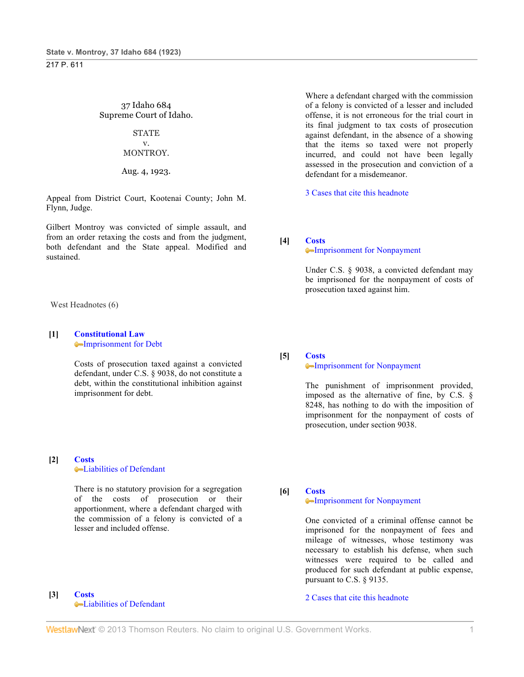37 Idaho 684 Supreme Court of Idaho.

#### **STATE** v.

# MONTROY.

#### Aug. 4, 1923.

Appeal from District Court, Kootenai County; John M. Flynn, Judge.

Gilbert Montroy was convicted of simple assault, and from an order retaxing the costs and from the judgment, both defendant and the State appeal. Modified and sustained.

#### West Headnotes (6)

#### **[1] Constitutional Law** Imprisonment for Debt

Costs of prosecution taxed against a convicted defendant, under C.S. § 9038, do not constitute a debt, within the constitutional inhibition against imprisonment for debt.

## **[2] Costs** Liabilities of Defendant

There is no statutory provision for a segregation of the costs of prosecution or their apportionment, where a defendant charged with the commission of a felony is convicted of a lesser and included offense.

#### **[3] Costs** Liabilities of Defendant

Where a defendant charged with the commission of a felony is convicted of a lesser and included offense, it is not erroneous for the trial court in its final judgment to tax costs of prosecution against defendant, in the absence of a showing that the items so taxed were not properly incurred, and could not have been legally assessed in the prosecution and conviction of a defendant for a misdemeanor.

3 Cases that cite this headnote

**[4] Costs**

#### Imprisonment for Nonpayment

Under C.S. § 9038, a convicted defendant may be imprisoned for the nonpayment of costs of prosecution taxed against him.

**[5] Costs**

### Imprisonment for Nonpayment

The punishment of imprisonment provided, imposed as the alternative of fine, by C.S. § 8248, has nothing to do with the imposition of imprisonment for the nonpayment of costs of prosecution, under section 9038.

**[6] Costs**

### Imprisonment for Nonpayment

One convicted of a criminal offense cannot be imprisoned for the nonpayment of fees and mileage of witnesses, whose testimony was necessary to establish his defense, when such witnesses were required to be called and produced for such defendant at public expense, pursuant to C.S. § 9135.

2 Cases that cite this headnote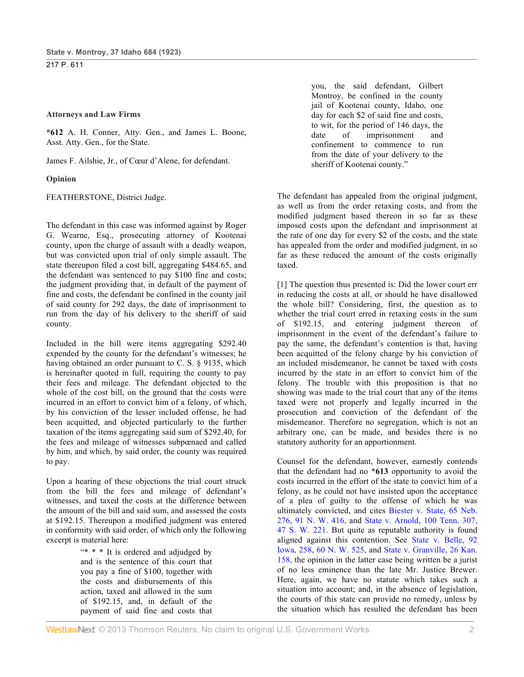#### **Attorneys and Law Firms**

**\*612** A. H. Conner, Atty. Gen., and James L. Boone, Asst. Atty. Gen., for the State.

James F. Ailshie, Jr., of Cœur d'Alene, for defendant.

#### **Opinion**

FEATHERSTONE, District Judge.

The defendant in this case was informed against by Roger G. Wearne, Esq., prosecuting attorney of Kootenai county, upon the charge of assault with a deadly weapon, but was convicted upon trial of only simple assault. The state thereupon filed a cost bill, aggregating \$484.65, and the defendant was sentenced to pay \$100 fine and costs; the judgment providing that, in default of the payment of fine and costs, the defendant be confined in the county jail of said county for 292 days, the date of imprisonment to run from the day of his delivery to the sheriff of said county.

Included in the bill were items aggregating \$292.40 expended by the county for the defendant's witnesses; he having obtained an order pursuant to C. S. § 9135, which is hereinafter quoted in full, requiring the county to pay their fees and mileage. The defendant objected to the whole of the cost bill, on the ground that the costs were incurred in an effort to convict him of a felony, of which, by his conviction of the lesser included offense, he had been acquitted, and objected particularly to the further taxation of the items aggregating said sum of \$292.40, for the fees and mileage of witnesses subpœnaed and called by him, and which, by said order, the county was required to pay.

Upon a hearing of these objections the trial court struck from the bill the fees and mileage of defendant's witnesses, and taxed the costs at the difference between the amount of the bill and said sum, and assessed the costs at \$192.15. Thereupon a modified judgment was entered in conformity with said order, of which only the following excerpt is material here:

> "\* \* \* It is ordered and adjudged by and is the sentence of this court that you pay a fine of \$100, together with the costs and disbursements of this action, taxed and allowed in the sum of \$192.15, and, in default of the payment of said fine and costs that

you, the said defendant, Gilbert Montroy, be confined in the county jail of Kootenai county, Idaho, one day for each \$2 of said fine and costs, to wit, for the period of 146 days, the date of imprisonment and confinement to commence to run from the date of your delivery to the sheriff of Kootenai county."

The defendant has appealed from the original judgment, as well as from the order retaxing costs, and from the modified judgment based thereon in so far as these imposed costs upon the defendant and imprisonment at the rate of one day for every \$2 of the costs, and the state has appealed from the order and modified judgment, in so far as these reduced the amount of the costs originally taxed.

[1] The question thus presented is: Did the lower court err in reducing the costs at all, or should he have disallowed the whole bill? Considering, first, the question as to whether the trial court erred in retaxing costs in the sum of \$192.15, and entering judgment thereon of imprisonment in the event of the defendant's failure to pay the same, the defendant's contention is that, having been acquitted of the felony charge by his conviction of an included misdemeanor, he cannot be taxed with costs incurred by the state in an effort to convict him of the felony. The trouble with this proposition is that no showing was made to the trial court that any of the items taxed were not properly and legally incurred in the prosecution and conviction of the defendant of the misdemeanor. Therefore no segregation, which is not an arbitrary one, can be made, and besides there is no statutory authority for an apportionment.

Counsel for the defendant, however, earnestly contends that the defendant had no **\*613** opportunity to avoid the costs incurred in the effort of the state to convict him of a felony, as he could not have insisted upon the acceptance of a plea of guilty to the offense of which he was ultimately convicted, and cites Biester v. State, 65 Neb. 276, 91 N. W. 416, and State v. Arnold, 100 Tenn. 307, 47 S. W. 221. But quite as reputable authority is found aligned against this contention. See State v. Belle, 92 Iowa, 258, 60 N. W. 525, and State v. Granville, 26 Kan. 158, the opinion in the latter case being written be a jurist of no less eminence than the late Mr. Justice Brewer. Here, again, we have no statute which takes such a situation into account; and, in the absence of legislation, the courts of this state can provide no remedy, unless by the situation which has resulted the defendant has been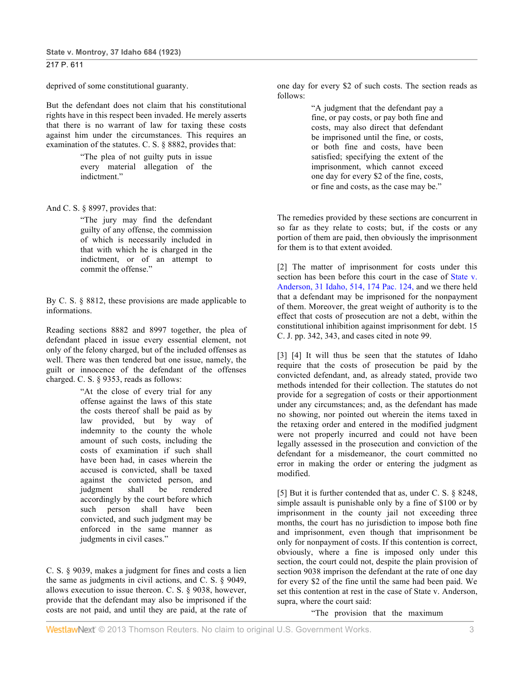deprived of some constitutional guaranty.

But the defendant does not claim that his constitutional rights have in this respect been invaded. He merely asserts that there is no warrant of law for taxing these costs against him under the circumstances. This requires an examination of the statutes. C. S. § 8882, provides that:

> "The plea of not guilty puts in issue every material allegation of the indictment."

And C. S. § 8997, provides that:

"The jury may find the defendant guilty of any offense, the commission of which is necessarily included in that with which he is charged in the indictment, or of an attempt to commit the offense."

By C. S. § 8812, these provisions are made applicable to informations.

Reading sections 8882 and 8997 together, the plea of defendant placed in issue every essential element, not only of the felony charged, but of the included offenses as well. There was then tendered but one issue, namely, the guilt or innocence of the defendant of the offenses charged. C. S. § 9353, reads as follows:

> "At the close of every trial for any offense against the laws of this state the costs thereof shall be paid as by law provided, but by way of indemnity to the county the whole amount of such costs, including the costs of examination if such shall have been had, in cases wherein the accused is convicted, shall be taxed against the convicted person, and judgment shall be rendered accordingly by the court before which such person shall have been convicted, and such judgment may be enforced in the same manner as judgments in civil cases."

C. S. § 9039, makes a judgment for fines and costs a lien the same as judgments in civil actions, and C. S. § 9049, allows execution to issue thereon. C. S. § 9038, however, provide that the defendant may also be imprisoned if the costs are not paid, and until they are paid, at the rate of one day for every \$2 of such costs. The section reads as follows:

> "A judgment that the defendant pay a fine, or pay costs, or pay both fine and costs, may also direct that defendant be imprisoned until the fine, or costs, or both fine and costs, have been satisfied; specifying the extent of the imprisonment, which cannot exceed one day for every \$2 of the fine, costs, or fine and costs, as the case may be."

The remedies provided by these sections are concurrent in so far as they relate to costs; but, if the costs or any portion of them are paid, then obviously the imprisonment for them is to that extent avoided.

[2] The matter of imprisonment for costs under this section has been before this court in the case of State v. Anderson, 31 Idaho, 514, 174 Pac. 124, and we there held that a defendant may be imprisoned for the nonpayment of them. Moreover, the great weight of authority is to the effect that costs of prosecution are not a debt, within the constitutional inhibition against imprisonment for debt. 15 C. J. pp. 342, 343, and cases cited in note 99.

[3] [4] It will thus be seen that the statutes of Idaho require that the costs of prosecution be paid by the convicted defendant, and, as already stated, provide two methods intended for their collection. The statutes do not provide for a segregation of costs or their apportionment under any circumstances; and, as the defendant has made no showing, nor pointed out wherein the items taxed in the retaxing order and entered in the modified judgment were not properly incurred and could not have been legally assessed in the prosecution and conviction of the defendant for a misdemeanor, the court committed no error in making the order or entering the judgment as modified.

[5] But it is further contended that as, under C. S. § 8248, simple assault is punishable only by a fine of \$100 or by imprisonment in the county jail not exceeding three months, the court has no jurisdiction to impose both fine and imprisonment, even though that imprisonment be only for nonpayment of costs. If this contention is correct, obviously, where a fine is imposed only under this section, the court could not, despite the plain provision of section 9038 imprison the defendant at the rate of one day for every \$2 of the fine until the same had been paid. We set this contention at rest in the case of State v. Anderson, supra, where the court said:

"The provision that the maximum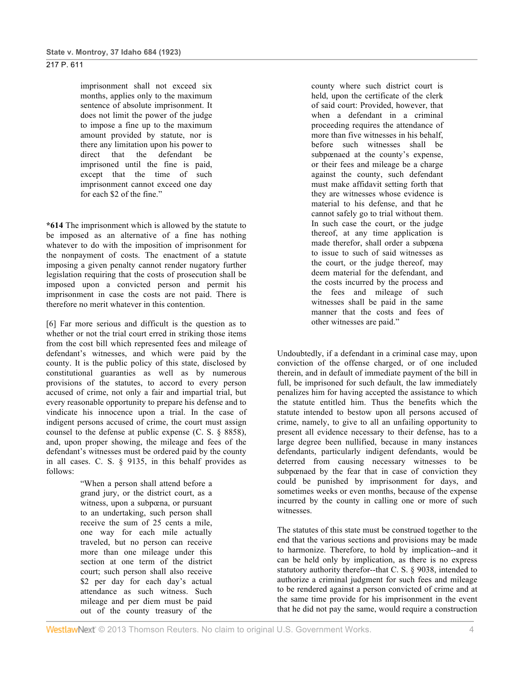imprisonment shall not exceed six months, applies only to the maximum sentence of absolute imprisonment. It does not limit the power of the judge to impose a fine up to the maximum amount provided by statute, nor is there any limitation upon his power to direct that the defendant be imprisoned until the fine is paid, except that the time of such imprisonment cannot exceed one day for each \$2 of the fine."

**\*614** The imprisonment which is allowed by the statute to be imposed as an alternative of a fine has nothing whatever to do with the imposition of imprisonment for the nonpayment of costs. The enactment of a statute imposing a given penalty cannot render nugatory further legislation requiring that the costs of prosecution shall be imposed upon a convicted person and permit his imprisonment in case the costs are not paid. There is therefore no merit whatever in this contention.

[6] Far more serious and difficult is the question as to whether or not the trial court erred in striking those items from the cost bill which represented fees and mileage of defendant's witnesses, and which were paid by the county. It is the public policy of this state, disclosed by constitutional guaranties as well as by numerous provisions of the statutes, to accord to every person accused of crime, not only a fair and impartial trial, but every reasonable opportunity to prepare his defense and to vindicate his innocence upon a trial. In the case of indigent persons accused of crime, the court must assign counsel to the defense at public expense (C. S. § 8858), and, upon proper showing, the mileage and fees of the defendant's witnesses must be ordered paid by the county in all cases. C. S. § 9135, in this behalf provides as follows:

> "When a person shall attend before a grand jury, or the district court, as a witness, upon a subpœna, or pursuant to an undertaking, such person shall receive the sum of 25 cents a mile, one way for each mile actually traveled, but no person can receive more than one mileage under this section at one term of the district court; such person shall also receive \$2 per day for each day's actual attendance as such witness. Such mileage and per diem must be paid out of the county treasury of the

county where such district court is held, upon the certificate of the clerk of said court: Provided, however, that when a defendant in a criminal proceeding requires the attendance of more than five witnesses in his behalf, before such witnesses shall be subpœnaed at the county's expense, or their fees and mileage be a charge against the county, such defendant must make affidavit setting forth that they are witnesses whose evidence is material to his defense, and that he cannot safely go to trial without them. In such case the court, or the judge thereof, at any time application is made therefor, shall order a subpœna to issue to such of said witnesses as the court, or the judge thereof, may deem material for the defendant, and the costs incurred by the process and the fees and mileage of such witnesses shall be paid in the same manner that the costs and fees of other witnesses are paid."

Undoubtedly, if a defendant in a criminal case may, upon conviction of the offense charged, or of one included therein, and in default of immediate payment of the bill in full, be imprisoned for such default, the law immediately penalizes him for having accepted the assistance to which the statute entitled him. Thus the benefits which the statute intended to bestow upon all persons accused of crime, namely, to give to all an unfailing opportunity to present all evidence necessary to their defense, has to a large degree been nullified, because in many instances defendants, particularly indigent defendants, would be deterred from causing necessary witnesses to be subpœnaed by the fear that in case of conviction they could be punished by imprisonment for days, and sometimes weeks or even months, because of the expense incurred by the county in calling one or more of such witnesses.

The statutes of this state must be construed together to the end that the various sections and provisions may be made to harmonize. Therefore, to hold by implication--and it can be held only by implication, as there is no express statutory authority therefor--that C. S. § 9038, intended to authorize a criminal judgment for such fees and mileage to be rendered against a person convicted of crime and at the same time provide for his imprisonment in the event that he did not pay the same, would require a construction